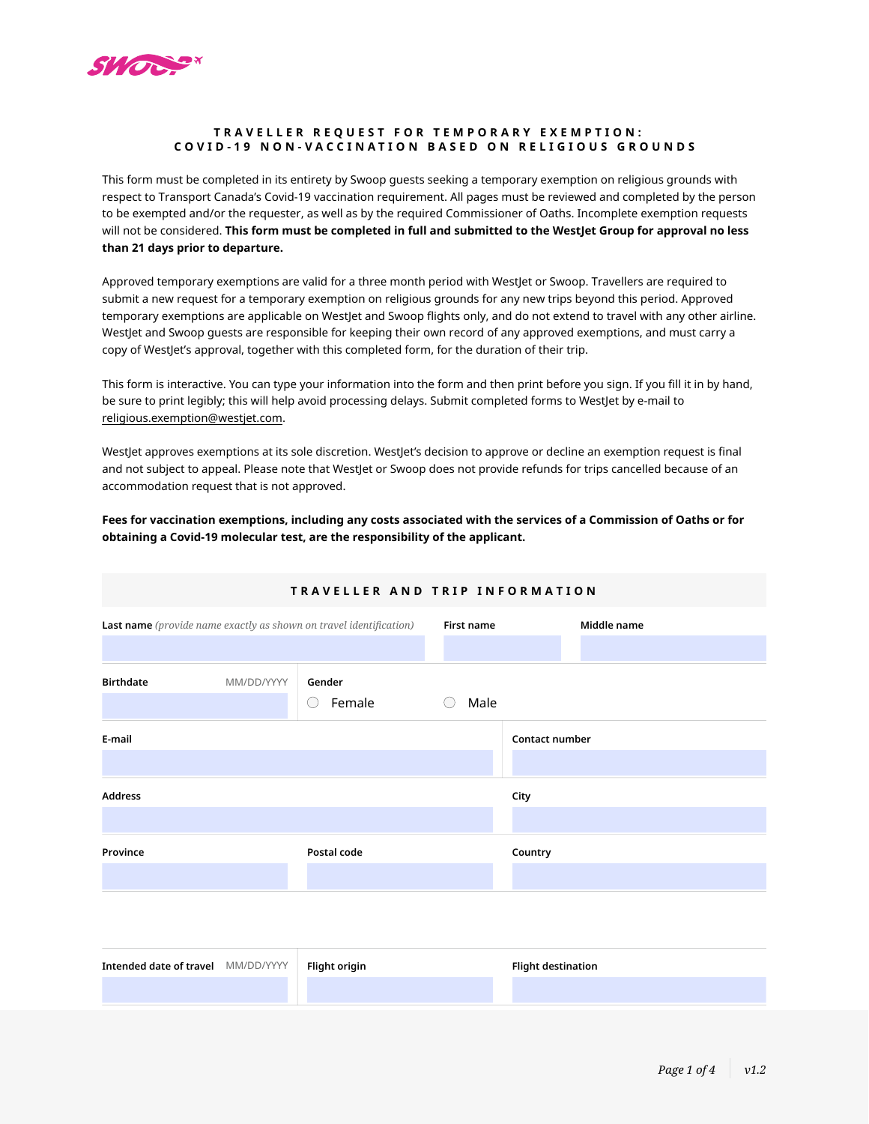

## **TRAVELLER REQUE ST FOR TEMPORARY EXEMPTION : C OVID-19 NON-VACCINATION BASED ON RELIGIOUS GROUND S**

This form must be completed in its entirety by Swoop guests seeking a temporary exemption on religious grounds with respect to Transport Canada's Covid-19 vaccination requirement. All pages must be reviewed and completed by the person to be exempted and/or the requester, as well as by the required Commissioner of Oaths. Incomplete exemption requests will not be considered. **This form must be completed in full and submitted to the WestJet Group for approval no less than 21 days prior to departure.**

Approved temporary exemptions are valid for a three month period with WestJet or Swoop. Travellers are required to submit a new request for a temporary exemption on religious grounds for any new trips beyond this period. Approved temporary exemptions are applicable on WestJet and Swoop flights only, and do not extend to travel with any other airline. WestJet and Swoop guests are responsible for keeping their own record of any approved exemptions, and must carry a copy of WestJet's approval, together with this completed form, for the duration of their trip.

This form is interactive. You can type your information into the form and then print before you sign. If you fill it in by hand, be sure to print legibly; this will help avoid processing delays. Submit completed forms to WestJet by e-mail to [religious.exemption@westjet.com](mailto:religious.exemption%40westjet.com?subject=).

WestJet approves exemptions at its sole discretion. WestJet's decision to approve or decline an exemption request is final and not subject to appeal. Please note that WestJet or Swoop does not provide refunds for trips cancelled because of an accommodation request that is not approved.

**Fees for vaccination exemptions, including any costs associated with the services of a Commission of Oaths or for obtaining a Covid-19 molecular test, are the responsibility of the applicant.**

| TRAVELLER AND TRIP INFORMATION                                            |            |             |             |                |  |
|---------------------------------------------------------------------------|------------|-------------|-------------|----------------|--|
| <b>Last name</b> (provide name exactly as shown on travel identification) |            | First name  | Middle name |                |  |
|                                                                           |            |             |             |                |  |
| <b>Birthdate</b>                                                          | MM/DD/YYYY | Gender      |             |                |  |
|                                                                           |            | Female      | Male        |                |  |
| E mail                                                                    |            |             |             | Contact number |  |
|                                                                           |            |             |             |                |  |
| <b>Address</b>                                                            |            |             |             | City           |  |
|                                                                           |            |             |             |                |  |
| Province                                                                  |            | Postal code |             | Country        |  |
|                                                                           |            |             |             |                |  |
|                                                                           |            |             |             |                |  |

| Intended date of travel MM/DD/YYYY   Flight origin | <b>Flight destination</b> |
|----------------------------------------------------|---------------------------|
|                                                    |                           |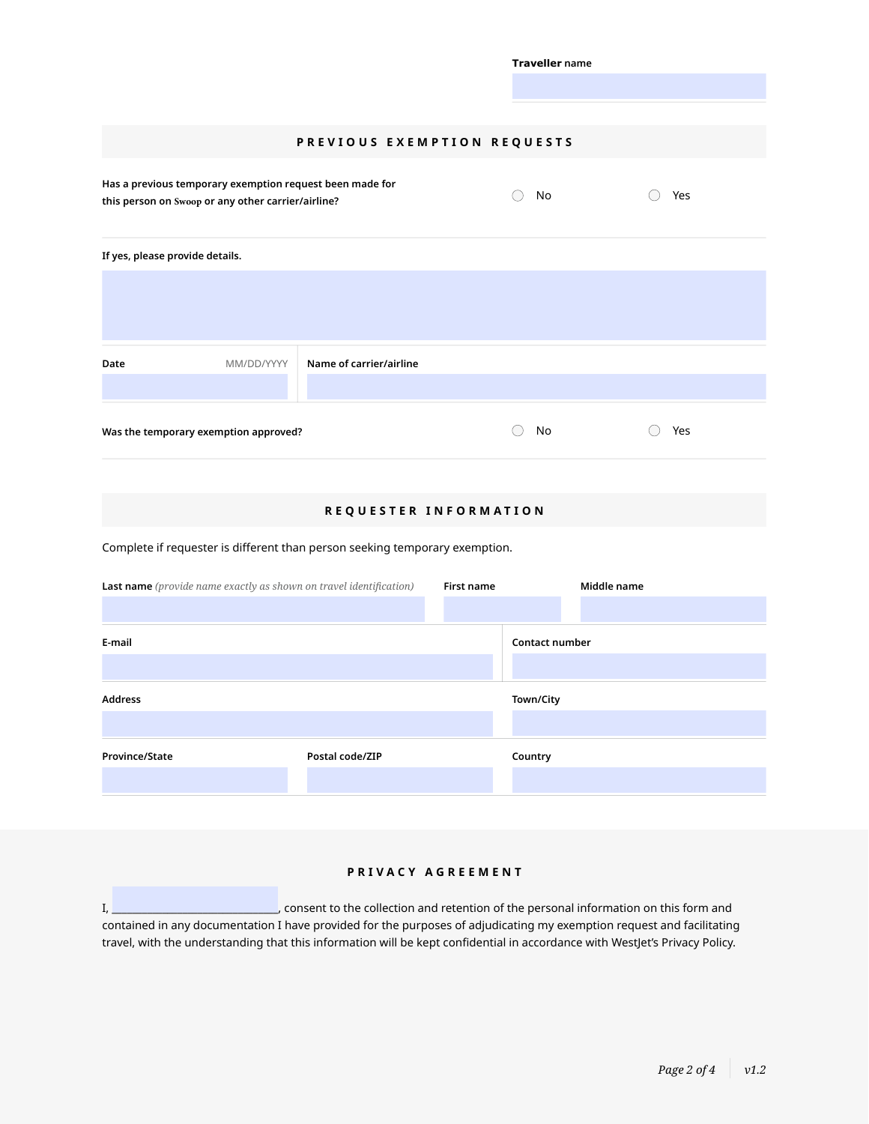|                                                                             |                                                                                                                                                                                      | No<br>( ) | ◯ Yes                                                                               |  |  |  |
|-----------------------------------------------------------------------------|--------------------------------------------------------------------------------------------------------------------------------------------------------------------------------------|-----------|-------------------------------------------------------------------------------------|--|--|--|
|                                                                             |                                                                                                                                                                                      |           |                                                                                     |  |  |  |
|                                                                             |                                                                                                                                                                                      |           |                                                                                     |  |  |  |
| Name of carrier/airline                                                     |                                                                                                                                                                                      |           |                                                                                     |  |  |  |
|                                                                             |                                                                                                                                                                                      |           |                                                                                     |  |  |  |
| Was the temporary exemption approved?                                       |                                                                                                                                                                                      |           | ◯ Yes                                                                               |  |  |  |
| REQUESTER INFORMATION                                                       |                                                                                                                                                                                      |           |                                                                                     |  |  |  |
| Complete if requester is different than person seeking temporary exemption. |                                                                                                                                                                                      |           |                                                                                     |  |  |  |
|                                                                             | First name                                                                                                                                                                           |           | Middle name                                                                         |  |  |  |
| E-mail                                                                      |                                                                                                                                                                                      |           | Contact number                                                                      |  |  |  |
|                                                                             |                                                                                                                                                                                      |           |                                                                                     |  |  |  |
|                                                                             |                                                                                                                                                                                      | Town/City |                                                                                     |  |  |  |
| Postal code/ZIP                                                             |                                                                                                                                                                                      |           |                                                                                     |  |  |  |
|                                                                             | Has a previous temporary exemption request been made for<br>this person on Swoop or any other carrier/airline?<br>Last name (provide name exactly as shown on travel identification) |           | <b>Traveller</b> name<br>PREVIOUS EXEMPTION REQUESTS<br>$\bigcirc$<br>No<br>Country |  |  |  |

# **PRIVACY AGREEMENT**

I, \_\_\_\_\_\_\_\_\_\_\_\_\_\_\_\_\_\_\_\_\_\_\_\_\_\_\_\_\_\_\_\_\_, consent to the collection and retention of the personal information on this form and contained in any documentation I have provided for the purposes of adjudicating my exemption request and facilitating travel, with the understanding that this information will be kept confidential in accordance with WestJet's Privacy Policy.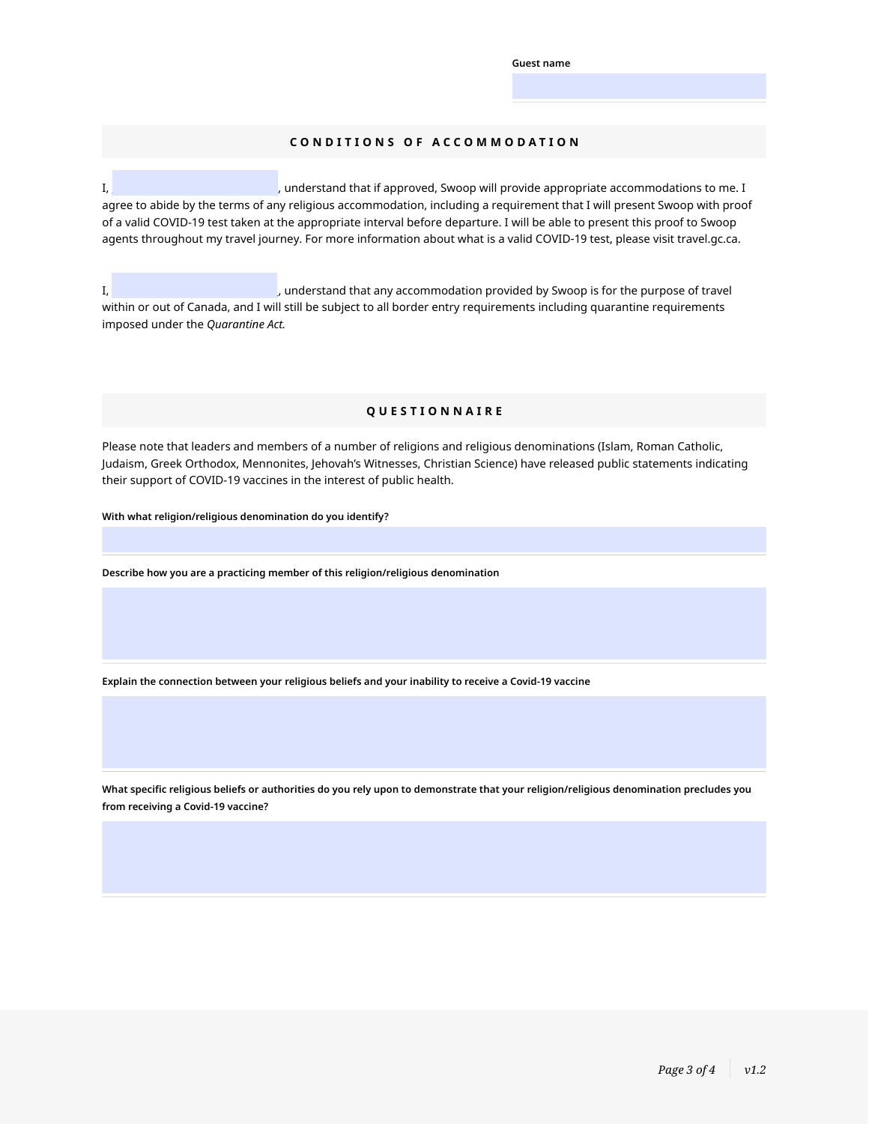**Guest name**

### **CONDITIONS OF ACCOMMODATION**

I, **I**, **Example 20** is the commodations to me. I approved, Swoop will provide appropriate accommodations to me. I agree to abide by the terms of any religious accommodation, including a requirement that I will present Swoop with proof of a valid COVID-19 test taken at the appropriate interval before departure. I will be able to present this proof to Swoop agents throughout my travel journey. For more information about what is a valid COVID-19 test, please vi[sit travel.gc.ca.](https://www.westjet.com/en-ca/get-travel-ready)

I, **I**, **Example 20** is the purpose of travel by Swoop is for the purpose of travel within or out of Canada, and I will still be subject to all border entry requirements including quarantine requirements imposed under the *Quarantine Act.*

#### **QUESTIONNAIRE**

Please note that leaders and members of a number of religions and religious denominations (Islam, Roman Catholic, Judaism, Greek Orthodox, Mennonites, Jehovah's Witnesses, Christian Science) have released public statements indicating their support of COVID-19 vaccines in the interest of public health.

**With what religion/religious denomination do you identify?**

**Describe how you are a practicing member of this religion/religious denomination**

**Explain the connection between your religious beliefs and your inability to receive a Covid-19 vaccine**

**What specific religious beliefs or authorities do you rely upon to demonstrate that your religion/religious denomination precludes you from receiving a Covid-19 vaccine?**